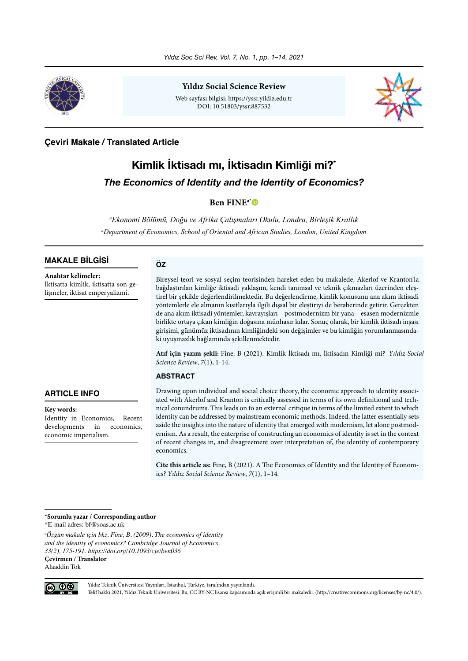

**Yıldız Social Science Review**

Web sayfası bilgisi: https://yssr.yildiz.edu.tr DOI: 10.51803/yssr.887532



## **Çeviri Makale / Translated Article**

# **Kimlik İktisadı mı, İktisadın Kimliği mi?\*** *The Economics of Identity and the Identity of Economics?*

## **Ben FINEa[\\*](https://orcid.org/0000-0002-4301-0730)**

*a Ekonomi Bölümü, Doğu ve Afrika Çalışmaları Okulu, Londra, Birleşik Krallık a Department of Economics, School of Oriental and African Studies, London, United Kingdom*

## **MAKALE BİLGİSİ**

**Anahtar kelimeler:** İktisatta kimlik, iktisatta son gelişmeler, iktisat emperyalizmi.

#### **ÖZ**

Bireysel teori ve sosyal seçim teorisinden hareket eden bu makalede, Akerlof ve Kranton'la bağdaştırılan kimliğe iktisadi yaklaşım, kendi tanımsal ve teknik çıkmazları üzerinden eleştirel bir şekilde değerlendirilmektedir. Bu değerlendirme, kimlik konusunu ana akım iktisadi yöntemlerle ele almanın kısıtlarıyla ilgili dışsal bir eleştiriyi de beraberinde getirir. Gerçekten de ana akım iktisadi yöntemler, kavrayışları – postmodernizm bir yana – esasen modernizmle birlikte ortaya çıkan kimliğin doğasına münhasır kılar. Sonuç olarak, bir kimlik iktisadı inşası girişimi, günümüz iktisadının kimliğindeki son değişimler ve bu kimliğin yorumlanmasındaki uyuşmazlık bağlamında şekillenmektedir.

**Atıf için yazım şekli:** Fine, B (2021). Kimlik İktisadı mı, İktisadın Kimliği mi? *Yıldız Social Science Review*, *7*(1), 1-14.

## **ABSTRACT**

**ARTICLE INFO**

#### **Key words:**

Identity in Economics, Recent developments in economics, economic imperialism.

Drawing upon individual and social choice theory, the economic approach to identity associated with Akerlof and Kranton is critically assessed in terms of its own definitional and technical conundrums. This leads on to an external critique in terms of the limited extent to which identity can be addressed by mainstream economic methods. Indeed, the latter essentially sets aside the insights into the nature of identity that emerged with modernism, let alone postmodernism. As a result, the enterprise of constructing an economics of identity is set in the context of recent changes in, and disagreement over interpretation of, the identity of contemporary economics.

**Cite this article as:** Fine, B (2021). A The Economics of Identity and the Identity of Economics? *Yıldız Social Science Review*, *7*(1), 1–14.

**\*Sorumlu yazar / Corresponding author**

\*E-mail adres: bf@soas.ac.uk

*a Özgün makale için bkz. Fine, B. (2009). The economics of identity and the identity of economics? Cambridge Journal of Economics, 33(2), 175-191. https://doi.org/10.1093/cje/ben036*  **Çevirmen / Translator** Alaaddin Tok



Yıldız Teknik Üniversitesi Yayınları, İstanbul, Türkiye, tarafından yayınlandı.

Telif hakkı 2021, Yıldız Teknik Üniversitesi. Bu, CC BY-NC lisansı kapsamında açık erişimli bir makaledir. (http://creativecommons.org/licenses/by-nc/4.0/).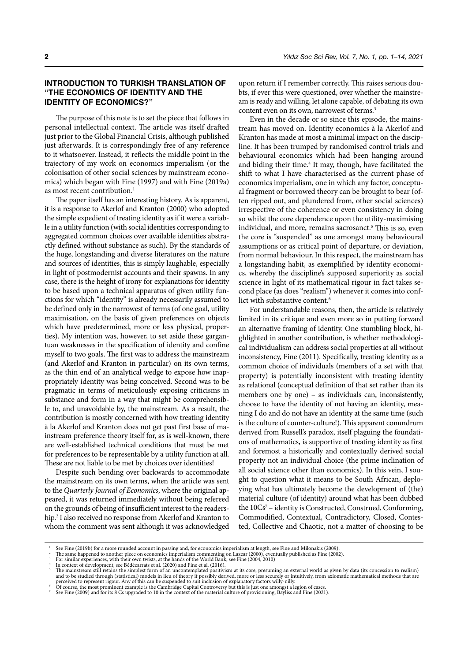## **INTRODUCTION TO TURKISH TRANSLATION OF "THE ECONOMICS OF IDENTITY AND THE IDENTITY OF ECONOMICS?"**

The purpose of this note is to set the piece that follows in personal intellectual context. The article was itself drafted just prior to the Global Financial Crisis, although published just afterwards. It is correspondingly free of any reference to it whatsoever. Instead, it reflects the middle point in the trajectory of my work on economics imperialism (or the colonisation of other social sciences by mainstream economics) which began with Fine (1997) and with Fine (2019a) as most recent contribution.<sup>1</sup>

The paper itself has an interesting history. As is apparent, it is a response to Akerlof and Kranton (2000) who adopted the simple expedient of treating identity as if it were a variable in a utility function (with social identities corresponding to aggregated common choices over available identities abstractly defined without substance as such). By the standards of the huge, longstanding and diverse literatures on the nature and sources of identities, this is simply laughable, especially in light of postmodernist accounts and their spawns. In any case, there is the height of irony for explanations for identity to be based upon a technical apparatus of given utility functions for which "identity" is already necessarily assumed to be defined only in the narrowest of terms (of one goal, utility maximisation, on the basis of given preferences on objects which have predetermined, more or less physical, properties). My intention was, however, to set aside these gargantuan weaknesses in the specification of identity and confine myself to two goals. The first was to address the mainstream (and Akerlof and Kranton in particular) on its own terms, as the thin end of an analytical wedge to expose how inappropriately identity was being conceived. Second was to be pragmatic in terms of meticulously exposing criticisms in substance and form in a way that might be comprehensible to, and unavoidable by, the mainstream. As a result, the contribution is mostly concerned with how treating identity à la Akerlof and Kranton does not get past first base of mainstream preference theory itself for, as is well-known, there are well-established technical conditions that must be met for preferences to be representable by a utility function at all. These are not liable to be met by choices over identities!

Despite such bending over backwards to accommodate the mainstream on its own terms, when the article was sent to the *Quarterly Journal of Economics*, where the original appeared, it was returned immediately without being refereed on the grounds of being of insufficient interest to the readership.2 I also received no response from Akerlof and Kranton to whom the comment was sent although it was acknowledged

upon return if I remember correctly. This raises serious doubts, if ever this were questioned, over whether the mainstream is ready and willing, let alone capable, of debating its own content even on its own, narrowest of terms.<sup>3</sup>

Even in the decade or so since this episode, the mainstream has moved on. Identity economics à la Akerlof and Kranton has made at most a minimal impact on the discipline. It has been trumped by randomised control trials and behavioural economics which had been hanging around and biding their time.<sup>4</sup> It may, though, have facilitated the shift to what I have characterised as the current phase of economics imperialism, one in which any factor, conceptual fragment or borrowed theory can be brought to bear (often ripped out, and plundered from, other social sciences) irrespective of the coherence or even consistency in doing so whilst the core dependence upon the utility-maximising individual, and more, remains sacrosanct.<sup>5</sup> This is so, even the core is "suspended" as one amongst many behavioural assumptions or as critical point of departure, or deviation, from normal behaviour. In this respect, the mainstream has a longstanding habit, as exemplified by identity economics, whereby the discipline's supposed superiority as social science in light of its mathematical rigour in fact takes second place (as does "realism") whenever it comes into conflict with substantive content.<sup>6</sup>

For understandable reasons, then, the article is relatively limited in its critique and even more so in putting forward an alternative framing of identity. One stumbling block, highlighted in another contribution, is whether methodological individualism can address social properties at all without inconsistency, Fine (2011). Specifically, treating identity as a common choice of individuals (members of a set with that property) is potentially inconsistent with treating identity as relational (conceptual definition of that set rather than its members one by one) – as individuals can, inconsistently, choose to have the identity of not having an identity, meaning I do and do not have an identity at the same time (such is the culture of counter-culture!). This apparent conundrum derived from Russell's paradox, itself plaguing the foundations of mathematics, is supportive of treating identity as first and foremost a historically and contextually derived social property not an individual choice (the prime inclination of all social science other than economics). In this vein, I sought to question what it means to be South African, deploying what has ultimately become the development of (the) material culture (of identity) around what has been dubbed the 10Cs<sup>7</sup> - identity is Constructed, Construed, Conforming, Commodified, Contextual, Contradictory, Closed, Contested, Collective and Chaotic, not a matter of choosing to be

<sup>&</sup>lt;sup>1</sup> See Fine (2019b) for a more rounded account in passing and, for economics imperialism at length, see Fine and Milonakis (2009).<br><sup>2</sup> The same happened to another piece on economics imperialism commenting on Lazear (200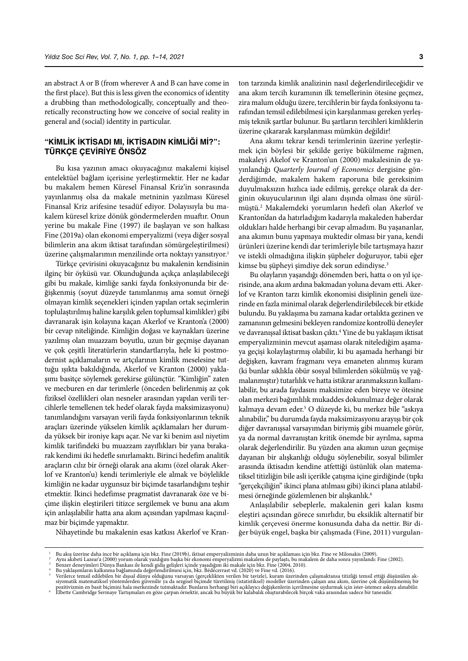an abstract A or B (from wherever A and B can have come in the first place). But this is less given the economics of identity a drubbing than methodologically, conceptually and theoretically reconstructing how we conceive of social reality in general and (social) identity in particular.

## **"KIMLIK İKTISADI MI, İKTISADIN KIMLIĞI MI?": TÜRKÇE ÇEVIRIYE ÖNSÖZ**

Bu kısa yazının amacı okuyacağınız makalemi kişisel entelektüel bağlam içerisine yerleştirmektir. Her ne kadar bu makalem hemen Küresel Finansal Kriz'in sonrasında yayınlanmış olsa da makale metninin yazılması Küresel Finansal Kriz arifesine tesadüf ediyor. Dolayısıyla bu makalem küresel krize dönük göndermelerden muaftır. Onun yerine bu makale Fine (1997) ile başlayan ve son halkası Fine (2019a) olan ekonomi emperyalizmi (veya diğer sosyal bilimlerin ana akım iktisat tarafından sömürgeleştirilmesi) üzerine çalışmalarımın menzilinde orta noktayı yansıtıyor.<sup>1</sup>

Türkçe çevirisini okuyacağınız bu makalenin kendisinin ilginç bir öyküsü var. Okunduğunda açıkça anlaşılabileceği gibi bu makale, kimliğe sanki fayda fonksiyonunda bir değişkenmiş (soyut düzeyde tanımlanmış ama somut örneği olmayan kimlik seçenekleri içinden yapılan ortak seçimlerin toplulaştırılmış haline karşılık gelen toplumsal kimlikler) gibi davranarak işin kolayına kaçan Akerlof ve Kranton'a (2000) bir cevap niteliğinde. Kimliğin doğası ve kaynakları üzerine yazılmış olan muazzam boyutlu, uzun bir geçmişe dayanan ve çok çeşitli literatürlerin standartlarıyla, hele ki postmodernist açıklamaların ve artçılarının kimlik meselesine tuttuğu ışıkta bakıldığında, Akerlof ve Kranton (2000) yaklaşımı basitçe söylemek gerekirse gülünçtür. "Kimliğin" zaten ve mecburen en dar terimlerle (önceden belirlenmiş az çok fiziksel özellikleri olan nesneler arasından yapılan verili tercihlerle temellenen tek hedef olarak fayda maksimizasyonu) tanımlandığını varsayan verili fayda fonksiyonlarının teknik araçları üzerinde yükselen kimlik açıklamaları her durumda yüksek bir ironiye kapı açar. Ne var ki benim asıl niyetim kimlik tarifindeki bu muazzam zayıflıkları bir yana bırakarak kendimi iki hedefle sınırlamaktı. Birinci hedefim analitik araçların cılız bir örneği olarak ana akımı (özel olarak Akerlof ve Kranton'u) kendi terimleriyle ele almak ve böylelikle kimliğin ne kadar uygunsuz bir biçimde tasarlandığını teşhir etmektir. İkinci hedefimse pragmatist davranarak öze ve biçime ilişkin eleştirileri titizce sergilemek ve bunu ana akım için anlaşılabilir hatta ana akım açısından yapılması kaçınılmaz bir biçimde yapmaktır.

Nihayetinde bu makalenin esas katkısı Akerlof ve Kran-

ton tarzında kimlik analizinin nasıl değerlendirileceğidir ve ana akım tercih kuramının ilk temellerinin ötesine geçmez, zira malum olduğu üzere, tercihlerin bir fayda fonksiyonu tarafından temsil edilebilmesi için karşılanması gereken yerleşmiş teknik şartlar bulunur. Bu şartların tercihleri kimliklerin üzerine çıkararak karşılanması mümkün değildir!

Ana akımı tekrar kendi terimlerinin üzerine yerleştirmek için böylesi bir şekilde geriye bükülmeme rağmen, makaleyi Akelof ve Kranton'un (2000) makalesinin de yayınlandığı *Quarterly Journal of Economics* dergisine gönderdiğimde, makalem hakem raporuna bile gereksinim duyulmaksızın hızlıca iade edilmiş, gerekçe olarak da derginin okuyucularının ilgi alanı dışında olması öne sürülmüştü.2 Makalemdeki yorumların hedefi olan Akerlof ve Kranton'dan da hatırladığım kadarıyla makaleden haberdar oldukları halde herhangi bir cevap almadım. Bu yaşananlar, ana akımın bunu yapmaya muktedir olması bir yana, kendi ürünleri üzerine kendi dar terimleriyle bile tartışmaya hazır ve istekli olmadığına ilişkin şüpheler doğuruyor, tabii eğer kimse bu şüpheyi şimdiye dek sorun edindiyse.3

Bu olayların yaşandığı dönemden beri, hatta o on yıl içerisinde, ana akım ardına bakmadan yoluna devam etti. Akerlof ve Kranton tarzı kimlik ekonomisi disiplinin geneli üzerinde en fazla minimal olarak değerlendirilebilecek bir etkide bulundu. Bu yaklaşıma bu zamana kadar ortalıkta gezinen ve zamanının gelmesini bekleyen randomize kontrollü deneyler ve davranışsal iktisat baskın çıktı.4 Yine de bu yaklaşım iktisat emperyalizminin mevcut aşaması olarak nitelediğim aşamaya geçişi kolaylaştırmış olabilir, ki bu aşamada herhangi bir değişken, kavram fragmanı veya emaneten alınmış kuram (ki bunlar sıklıkla öbür sosyal bilimlerden sökülmüş ve yağmalanmıştır) tutarlılık ve hatta istikrar aranmaksızın kullanılabilir, bu arada faydasını maksimize eden bireye ve ötesine olan merkezi bağımlılık mukaddes dokunulmaz değer olarak kalmaya devam eder.5 O düzeyde ki, bu merkez bile "askıya alınabilir," bu durumda fayda maksimizasyonu arayışı bir çok diğer davranışsal varsayımdan biriymiş gibi muamele görür, ya da normal davranıştan kritik önemde bir ayrılma, sapma olarak değerlendirilir. Bu yüzden ana akımın uzun geçmişe dayanan bir alışkanlığı olduğu söylenebilir, sosyal bilimler arasında iktisadın kendine atfettiği üstünlük olan matematiksel titizliğin bile asli içerikle çatışma içine girdiğinde (tıpkı "gerçekçiliğin" ikinci plana atılması gibi) ikinci plana atılabilmesi örneğinde gözlemlenen bir alışkanlık.<sup>6</sup>

Anlaşılabilir sebeplerle, makalenin geri kalan kısmı eleştiri açısından görece sınırlıdır, bu eksiklik alternatif bir kimlik çerçevesi önerme konusunda daha da nettir. Bir diğer büyük engel, başka bir çalışmada (Fine, 2011) vurgulan-

Bu akış üzerine daha ince bir açıklama için bkz. Fine (2019b), iktisat emperyalizminin daha uzun bir açıklaması için bkz. Fine ve Milonakis (2009).<br>Aynı akıbeti Lazear'a (2000) yorum olarak yazdığım başka bir ekonomi emper

Verilerce temsil edilebilen bir dışsal dünya olduğunu varsayan (gerçeklikten verilen bir tavizle), kuram üzerinden çalışmaktansa titizliği temsil ettiği düşünülen ak-<br>siyomatik matematiksel yöntemlerden güvenilir ya da sez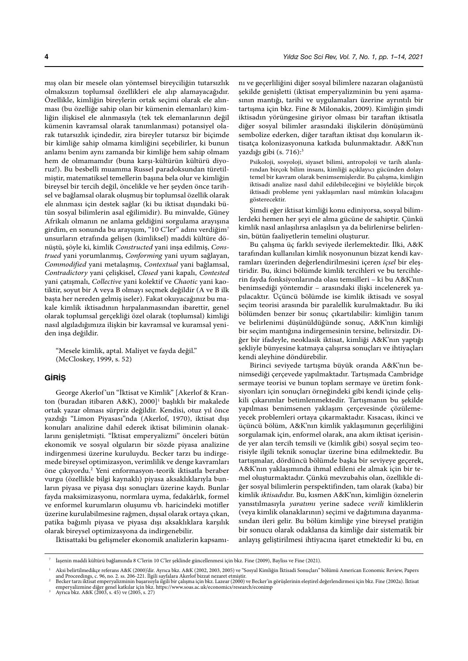mış olan bir mesele olan yöntemsel bireyciliğin tutarsızlık olmaksızın toplumsal özellikleri ele alıp alamayacağıdır. Özellikle, kimliğin bireylerin ortak seçimi olarak ele alınması (bu özelliğe sahip olan bir kümenin elemanları) kimliğin ilişkisel ele alınmasıyla (tek tek elemanlarının değil kümenin kavramsal olarak tanımlanması) potansiyel olarak tutarsızlık içindedir, zira bireyler tutarsız bir biçimde bir kimliğe sahip olmama kimliğini seçebilirler, ki bunun anlamı benim aynı zamanda bir kimliğe hem sahip olmam hem de olmamamdır (buna karşı-kültürün kültürü diyoruz!). Bu besbelli muamma Russel paradoksundan türetilmiştir, matematiksel temellerin başına bela olur ve kimliğin bireysel bir tercih değil, öncelikle ve her şeyden önce tarihsel ve bağlamsal olarak oluşmuş bir toplumsal özellik olarak ele alınması için destek sağlar (ki bu iktisat dışındaki bütün sosyal bilimlerin asal eğilimidir). Bu minvalde, Güney Afrikalı olmanın ne anlama geldiğini sorgulama arayışına girdim, en sonunda bu arayışım, "10 C'ler" adını verdiğim7 unsurların etrafında gelişen (kimliksel) maddi kültüre dönüştü, şöyle ki, kimlik *Constructed* yani inşa edilmiş, *Construed* yani yorumlanmış, *Conforming* yani uyum sağlayan, *Commodified* yani metalaşmış, *Contextual* yani bağlamsal, *Contradictory* yani çelişkisel, *Closed* yani kapalı, *Contested* yani çatışmalı, *Collective* yani kolektif ve *Chaotic* yani kaotiktir, soyut bir A veya B olmayı seçmek değildir (A ve B ilk başta her nereden gelmiş iseler). Fakat okuyacağınız bu makale kimlik iktisadının hırpalanmasından ibarettir, genel olarak toplumsal gerçekliği özel olarak (toplumsal) kimliği nasıl algıladığımıza ilişkin bir kavramsal ve kuramsal yeniden inşa değildir.

"Mesele kimlik, aptal. Maliyet ve fayda değil." (McCloskey, 1999, s. 52)

#### **GİRİŞ**

George Akerlof 'un "İktisat ve Kimlik" [Akerlof & Kranton (buradan itibaren A&K), 2000]<sup>1</sup> başlıklı bir makalede ortak yazar olması sürpriz değildir. Kendisi, otuz yıl önce yazdığı "Limon Piyasası"nda (Akerlof, 1970), iktisat dışı konuları analizine dahil ederek iktisat biliminin olanaklarını genişletmişti. "İktisat emperyalizmi" önceleri bütün ekonomik ve sosyal olguların bir sözde piyasa analizine indirgenmesi üzerine kuruluydu. Becker tarzı bu indirgemede bireysel optimizasyon, verimlilik ve denge kavramları öne çıkıyordu.2 Yeni enformasyon-teorik iktisatla beraber vurgu (özellikle bilgi kaynaklı) piyasa aksaklıklarıyla bunların piyasa ve piyasa dışı sonuçları üzerine kaydı. Bunlar fayda maksimizasyonu, normlara uyma, fedakârlık, formel ve enformel kurumların oluşumu vb. haricindeki motifler üzerine kurulabilmesine rağmen, dışsal olarak ortaya çıkan, patika bağımlı piyasa ve piyasa dışı aksaklıklara karşılık olarak bireysel optimizasyona da indirgenebilir.

nı ve geçerliliğini diğer sosyal bilimlere nazaran olağanüstü şekilde genişletti (iktisat emperyalizminin bu yeni aşamasının mantığı, tarihi ve uygulamaları üzerine ayrıntılı bir tartışma için bkz. Fine & Milonakis, 2009). Kimliğin şimdi iktisadın yörüngesine giriyor olması bir taraftan iktisatla diğer sosyal bilimler arasındaki ilişkilerin dönüşümünü sembolize ederken, diğer taraftan iktisat dışı konuların iktisatça kolonizasyonuna katkıda bulunmaktadır. A&K'nın yazdığı gibi (s. 716):<sup>3</sup>

Psikoloji, sosyoloji, siyaset bilimi, antropoloji ve tarih alanlarından birçok bilim insanı, kimliği açıklayıcı gücünden dolayı temel bir kavram olarak benimsemişlerdir. Bu çalışma, kimliğin iktisadi analize nasıl dahil edilebileceğini ve böylelikle birçok iktisadi probleme yeni yaklaşımları nasıl mümkün kılacağını gösterecektir.

Şimdi eğer iktisat kimliği konu ediniyorsa, sosyal bilimlerdeki hemen her şeyi ele alma gücüne de sahiptir. Çünkü kimlik nasıl anlaşılırsa anlaşılsın ya da belirlenirse belirlensin, bütün faaliyetlerin temelini oluşturur.

Bu çalışma üç farklı seviyede ilerlemektedir. İlki, A&K tarafından kullanılan kimlik nosyonunun bizzat kendi kavramları üzerinden değerlendirilmesini içeren *içsel* bir eleştiridir. Bu, ikinci bölümde kimlik tercihleri ve bu tercihlerin fayda fonksiyonlarında olası temsilleri – ki bu A&K'nın benimsediği yöntemdir – arasındaki ilişki incelenerek yapılacaktır. Üçüncü bölümde ise kimlik iktisadı ve sosyal seçim teorisi arasında bir paralellik kurulmaktadır. Bu iki bölümden benzer bir sonuç çıkartılabilir: kimliğin tanım ve belirlenimi düşünüldüğünde sonuç, A&K'nın kimliği bir seçim mantığına indirgemesinin tersine, belirsizdir. Diğer bir ifadeyle, neoklasik iktisat, kimliği A&K'nın yaptığı şekliyle bünyesine katmaya çalışırsa sonuçları ve ihtiyaçları kendi aleyhine döndürebilir.

Birinci seviyede tartışma büyük oranda A&K'nın benimsediği çerçevede yapılmaktadır. Tartışmada Cambridge sermaye teorisi ve bunun toplam sermaye ve üretim fonksiyonları için sonuçları örneğindeki gibi kendi içinde çelişkili çıkarımlar betimlenmektedir. Tartışmanın bu şekilde yapılması benimsenen yaklaşım çerçevesinde çözülemeyecek problemleri ortaya çıkarmaktadır. Kısacası, ikinci ve üçüncü bölüm, A&K'nın kimlik yaklaşımının geçerliliğini sorgulamak için, enformel olarak, ana akım iktisat içerisinde yer alan tercih temsili ve (kimlik gibi) sosyal seçim teorisiyle ilgili teknik sonuçlar üzerine bina edilmektedir. Bu tartışmalar, dördüncü bölümde başka bir seviyeye geçerek, A&K'nın yaklaşımında ihmal edileni ele almak için bir temel oluşturmaktadır. Çünkü mevzubahis olan, özellikle diğer sosyal bilimlerin perspektifinden, tam olarak (kaba) bir kimlik *iktisadı*dır. Bu, kısmen A&K'nın, kimliğin öznelerin yansıtılmasıyla *yaratımı* yerine sadece *verili* kimliklerin (veya kimlik olanaklarının) seçimi ve dağıtımına dayanmasından ileri gelir. Bu bölüm kimliğe yine bireysel pratiğin bir sonucu olarak odaklansa da kimliğe dair sistematik bir anlayış geliştirilmesi ihtiyacına işaret etmektedir ki bu, en

İktisattaki bu gelişmeler ekonomik analizlerin kapsamı-

<sup>7</sup> İaşenin maddi kültürü bağlamında 8 C'lerin 10 C'ler şeklinde güncellenmesi için bkz. Fine (2009), Bayliss ve Fine (2021).

<sup>1</sup> Aksi belirtilmedikçe referans A&K (2000)'dir. Ayrıca bkz. A&K (2002, 2003, 2005) ve "Sosyal Kimliğin İktisadi Sonuçları" bölümü American Economic Review, Papers and Proceedings, c. 96, no. 2. ss. 206-221. İlgili sayfalara Akerlof bizzat nezaret etmiştir.<br>Becker tarzı iktisat emperyalizminin başarısıyla ilgili bir çalışma için bkz. Lazear (2000) ve Becker'in görüşlerinin eleştirel

emperyalizmine diğer genel katkılar için bkz. https://www.soas.ac.uk/economics/research/econimp 3 Ayrıca bkz. A&K (2003, s. 45) ve (2005, s. 27)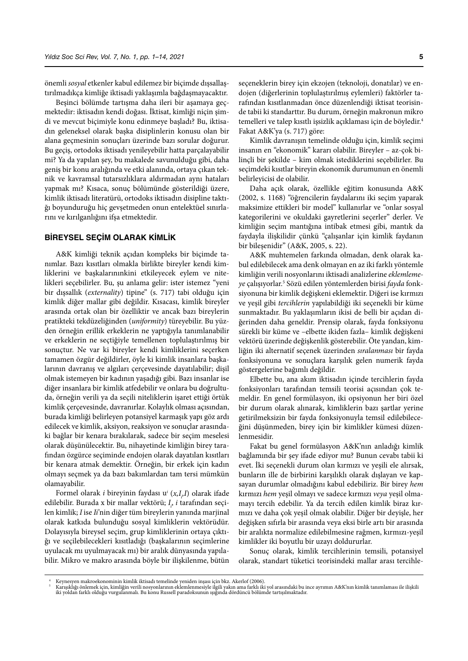önemli *sosyal* etkenler kabul edilemez bir biçimde dışsallaştırılmadıkça kimliğe iktisadi yaklaşımla bağdaşmayacaktır.

Beşinci bölümde tartışma daha ileri bir aşamaya geçmektedir: iktisadın kendi doğası. İktisat, kimliği niçin şimdi ve mevcut biçimiyle konu edinmeye başladı? Bu, iktisadın geleneksel olarak başka disiplinlerin konusu olan bir alana geçmesinin sonuçları üzerinde bazı sorular doğurur. Bu geçiş, ortodoks iktisadı yenileyebilir hatta parçalayabilir mi? Ya da yapılan şey, bu makalede savunulduğu gibi, daha geniş bir konu aralığında ve etki alanında, ortaya çıkan teknik ve kavramsal tutarsızlıklara aldırmadan aynı hataları yapmak mı? Kısaca, sonuç bölümünde gösterildiği üzere, kimlik iktisadı literatürü, ortodoks iktisadın disipline taktığı boyunduruğu hiç gevşetmeden onun entelektüel sınırlarını ve kırılganlığını ifşa etmektedir.

#### **BIREYSEL SEÇIM OLARAK KIMLIK**

A&K kimliği teknik açıdan kompleks bir biçimde tanımlar. Bazı kısıtları olmakla birlikte bireyler kendi kimliklerini ve başkalarınınkini etkileyecek eylem ve nitelikleri seçebilirler. Bu, şu anlama gelir: ister istemez "yeni bir dışsallık (*externality*) tipine" (s. 717) tabi olduğu için kimlik diğer mallar gibi değildir. Kısacası, kimlik bireyler arasında ortak olan bir özelliktir ve ancak bazı bireylerin pratikteki tekdüzeliğinden (*uniformity*) türeyebilir. Bu yüzden örneğin erillik erkeklerin ne yaptığıyla tanımlanabilir ve erkeklerin ne seçtiğiyle temellenen toplulaştırılmış bir sonuçtur. Ne var ki bireyler kendi kimliklerini seçerken tamamen özgür değildirler, öyle ki kimlik insanlara başkalarının davranış ve algıları çerçevesinde dayatılabilir; dişil olmak istemeyen bir kadının yaşadığı gibi. Bazı insanlar ise diğer insanlara bir kimlik atfedebilir ve onlara bu doğrultuda, örneğin verili ya da seçili niteliklerin işaret ettiği örtük kimlik çerçevesinde, davranırlar. Kolaylık olması açısından, burada kimliği belirleyen potansiyel karmaşık yapı göz ardı edilecek ve kimlik, aksiyon, reaksiyon ve sonuçlar arasındaki bağlar bir kenara bırakılarak, sadece bir seçim meselesi olarak düşünülecektir. Bu, nihayetinde kimliğin birey tarafından özgürce seçiminde endojen olarak dayatılan kısıtları bir kenara atmak demektir. Örneğin, bir erkek için kadın olmayı seçmek ya da bazı bakımlardan tam tersi mümkün olamayabilir.

Formel olarak *i* bireyinin faydası u<sup>*i*</sup> (x,I<sub>*i*</sub>I) olarak ifade edilebilir. Burada x bir mallar vektörü; *I i* , *i* tarafından seçilen kimlik; *I* ise *Ii*'nin diğer tüm bireylerin yanında marjinal olarak katkıda bulunduğu sosyal kimliklerin vektörüdür. Dolayısıyla bireysel seçim, grup kimliklerinin ortaya çıktığı ve seçilebilecekleri kısıtladığı (başkalarının seçimlerine uyulacak mı uyulmayacak mı) bir aralık dünyasında yapılabilir. Mikro ve makro arasında böyle bir ilişkilenme, bütün

seçeneklerin birey için ekzojen (teknoloji, donatılar) ve endojen (diğerlerinin toplulaştırılmış eylemleri) faktörler tarafından kısıtlanmadan önce düzenlendiği iktisat teorisinde tabii ki standarttır. Bu durum, örneğin makronun mikro temelleri ve talep kısıtlı işsizlik açıklaması için de böyledir.4 Fakat A&K'ya (s. 717) göre:

Kimlik davranışın temelinde olduğu için, kimlik seçimi insanın en "ekonomik" kararı olabilir. Bireyler – az-çok bilinçli bir şekilde – kim olmak istediklerini seçebilirler. Bu seçimdeki kısıtlar bireyin ekonomik durumunun en önemli belirleyicisi de olabilir.

Daha açık olarak, özellikle eğitim konusunda A&K (2002, s. 1168) "öğrencilerin faydalarını iki seçim yaparak maksimize ettikleri bir model" kullanırlar ve "onlar sosyal kategorilerini ve okuldaki gayretlerini seçerler" derler. Ve kimliğin seçim mantığına intibak etmesi gibi, mantık da faydayla ilişkilidir çünkü "çalışanlar için kimlik faydanın bir bileşenidir" (A&K, 2005, s. 22).

A&K muhtemelen farkında olmadan, denk olarak kabul edilebilecek ama denk olmayan en az iki farklı yöntemle kimliğin verili nosyonlarını iktisadi analizlerine *eklemlemeye* çalışıyorlar.5 Sözü edilen yöntemlerden birisi *fayda* fonksiyonuna bir kimlik değişkeni eklemektir. Diğeri ise kırmızı ve yeşil gibi *tercihlerin* yapılabildiği iki seçenekli bir küme sunmaktadır. Bu yaklaşımların ikisi de belli bir açıdan diğerinden daha geneldir. Prensip olarak, fayda fonksiyonu sürekli bir küme ve –elbette ikiden fazla– kimlik değişkeni vektörü üzerinde değişkenlik gösterebilir. Öte yandan, kimliğin iki alternatif seçenek üzerinden *sıralanması* bir fayda fonksiyonuna ve sonuçlara karşılık gelen numerik fayda göstergelerine bağımlı değildir.

Elbette bu, ana akım iktisadın içinde tercihlerin fayda fonksiyonları tarafından temsili teorisi açısından çok temeldir. En genel formülasyon, iki opsiyonun her biri özel bir durum olarak alınarak, kimliklerin bazı şartlar yerine getirilmeksizin bir fayda fonksiyonuyla temsil edilebileceğini düşünmeden, birey için bir kimlikler kümesi düzenlenmesidir.

Fakat bu genel formülasyon A&K'nın anladığı kimlik bağlamında bir şey ifade ediyor mu? Bunun cevabı tabii ki evet. İki seçenekli durum olan kırmızı ve yeşili ele alırsak, bunların ille de birbirini karşılıklı olarak dışlayan ve kapsayan durumlar olmadığını kabul edebiliriz. Bir birey *hem* kırmızı *hem* yeşil olmayı ve sadece kırmızı *veya* yeşil olmamayı tercih edebilir. Ya da tercih edilen kimlik biraz kırmızı ve daha çok yeşil olmak olabilir. Diğer bir deyişle, her değişken sıfırla bir arasında veya eksi birle artı bir arasında bir aralıkta normalize edilebilmesine rağmen, kırmızı-yeşil kimlikler iki boyutlu bir uzayı doldururlar.

Sonuç olarak, kimlik tercihlerinin temsili, potansiyel olarak, standart tüketici teorisindeki mallar arası tercihle-

<sup>4</sup> Keynesyen makroekonominin kimlik iktisadı temelinde yeniden inşası için bkz. Akerlof (2006).<br><sup>5</sup> Karışıklığı önlemek için, kimliğin verili nosyonlarının eklemlenmesiyle ilgili yakın ama farklı iki yol arasındaki bu ince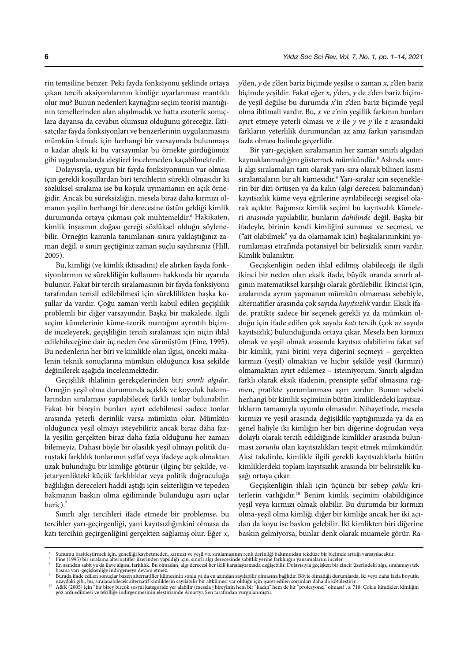rin temsiline benzer. Peki fayda fonksiyonu şeklinde ortaya çıkan tercih aksiyomlarının kimliğe uyarlanması mantıklı olur mu? Bunun nedenleri kaynağını seçim teorisi mantığının temellerinden alan alışılmadık ve hatta ezoterik sonuçlara dayansa da cevabın olumsuz olduğunu göreceğiz. İktisatçılar fayda fonksiyonları ve benzerlerinin uygulanmasını mümkün kılmak için herhangi bir varsayımda bulunmaya o kadar alışık ki bu varsayımlar bu örnekte gördüğümüz gibi uygulamalarda eleştirel incelemeden kaçabilmektedir.

Dolayısıyla, uygun bir fayda fonksiyonunun var olması için gerekli koşullardan biri tercihlerin sürekli olmasıdır ki sözlüksel sıralama ise bu koşula uymamanın en açık örneğidir. Ancak bu süreksizliğin, mesela biraz daha kırmızı olmanın yeşilin herhangi bir derecesine üstün geldiği kimlik durumunda ortaya çıkması çok muhtemeldir.6 Hakikaten, kimlik inşasının doğası gereği sözlüksel olduğu söylenebilir. Örneğin kanunla tanımlanan sınıra yaklaştığınız zaman değil, o sınırı geçtiğiniz zaman suçlu sayılırsınız (Hill, 2005).

Bu, kimliği (ve kimlik iktisadını) ele alırken fayda fonksiyonlarının ve sürekliliğin kullanımı hakkında bir uyarıda bulunur. Fakat bir tercih sıralamasının bir fayda fonksiyonu tarafından temsil edilebilmesi için süreklilikten başka koşullar da vardır. Çoğu zaman verili kabul edilen geçişlilik problemli bir diğer varsayımdır. Başka bir makalede, ilgili seçim kümelerinin küme-teorik mantığını ayrıntılı biçimde inceleyerek, geçişliliğin tercih sıralaması için niçin ihlal edilebileceğine dair üç neden öne sürmüştüm (Fine, 1995). Bu nedenlerin her biri ve kimlikle olan ilgisi, önceki makalenin teknik sonuçlarına mümkün olduğunca kısa şekilde değinilerek aşağıda incelenmektedir.

Geçişlilik ihlalinin gerekçelerinden biri *sınırlı algıdır*. Örneğin yeşil olma durumunda açıklık ve koyuluk bakımlarından sıralaması yapılabilecek farklı tonlar bulunabilir. Fakat bir bireyin bunları ayırt edebilmesi sadece tonlar arasında yeterli derinlik varsa mümkün olur. Mümkün olduğunca yeşil olmayı isteyebiliriz ancak biraz daha fazla yeşilin gerçekten biraz daha fazla olduğunu her zaman bilemeyiz. Dahası böyle bir olasılık yeşil olmayı politik duruştaki farklılık tonlarının şeffaf veya ifadeye açık olmaktan uzak bulunduğu bir kimliğe götürür (ilginç bir şekilde, vejetaryenlikteki küçük farklılıklar veya politik doğruculuğa bağlılığın dereceleri haddi aştığı için sekterliğin ve tepeden bakmanın baskın olma eğiliminde bulunduğu aşırı uçlar haric).<sup>7</sup>

Sınırlı algı tercihleri ifade etmede bir problemse, bu tercihler yarı-geçirgenliği, yani kayıtsızlığınkini olmasa da katı tercihin geçirgenliğini gerçekten sağlamış olur. Eğer *x*,

*y*'den, *y* de *z*'den bariz biçimde yeşilse o zaman *x, z*'den bariz biçimde yeşildir. Fakat eğer *x, y*'den, *y* de *z*'den bariz biçimde yeşil değilse bu durumda *x*'in *z*'den bariz biçimde yeşil olma ihtimali vardır. Bu, *x* ve *z*'nin yeşillik farkının bunları ayırt etmeye yeterli olması ve *x* ile *y* ve *y* ile *z* arasındaki farkların yeterlilik durumundan az ama farkın yarısından fazla olması halinde geçerlidir.

Bir yarı-geçişken sıralamanın her zaman sınırlı algıdan kaynaklanmadığını göstermek mümkündür.8 Aslında sınırlı algı sıralamaları tam olarak yarı-sıra olarak bilinen kısmi sıralamaların bir alt kümesidir.9 Yarı-sıralar için seçeneklerin bir dizi örtüşen ya da kalın (algı derecesi bakımından) kayıtsızlık küme veya eğrilerine ayrılabileceği sezgisel olarak açıktır. Bağımsız kimlik seçimi bu kayıtsızlık kümeleri *arasında* yapılabilir, bunların *dahilinde* değil. Başka bir ifadeyle, birinin kendi kimliğini sunması ve seçmesi, ve ("ait olabilmek" ya da olamamak için) başkalarınınkini yorumlaması etrafında potansiyel bir belirsizlik sınırı vardır. Kimlik bulanıktır.

Geçişkenliğin neden ihlal edilmiş olabileceği ile ilgili ikinci bir neden olan eksik ifade, büyük oranda sınırlı algının matematiksel karşılığı olarak görülebilir. İkincisi için, aralarında ayrım yapmanın mümkün olmaması sebebiyle, alternatifler arasında çok sayıda *kayıtsızlık* vardır. Eksik ifade, pratikte sadece bir seçenek gerekli ya da mümkün olduğu için ifade edilen çok sayıda *katı* tercih (çok az sayıda kayıtsızlık) bulunduğunda ortaya çıkar. Mesela ben kırmızı olmak ve yeşil olmak arasında kayıtsız olabilirim fakat saf bir kimlik, yani birini veya diğerini seçmeyi – gerçekten kırmızı (yeşil) olmaktan ve hiçbir şekilde yeşil (kırmızı) olmamaktan ayırt edilemez – istemiyorum. Sınırlı algıdan farklı olarak eksik ifadenin, prensipte şeffaf olmasına rağmen, pratikte yorumlanması aşırı zordur. Bunun sebebi herhangi bir kimlik seçiminin bütün kimliklerdeki kayıtsızlıkların tamamıyla uyumlu olmasıdır. Nihayetinde, mesela kırmızı ve yeşil arasında değişiklik yaptığımızda ya da en genel haliyle iki kimliğin her biri diğerine doğrudan veya dolaylı olarak tercih edildiğinde kimlikler arasında bulunması *zorunlu* olan kayıtsızlıkları tespit etmek mümkündür. Aksi takdirde, kimlikle ilgili gerekli kayıtsızlıklarla bütün kimliklerdeki toplam kayıtsızlık arasında bir belirsizlik kuşağı ortaya çıkar.

Geçişkenliğin ihlali için üçüncü bir sebep *çoklu* kriterlerin varlığıdır.10 Benim kimlik seçimim olabildiğince yeşil veya kırmızı olmak olabilir. Bu durumda bir kırmızı olma-yeşil olma kimliği diğer bir kimliğe ancak her iki açıdan da koyu ise baskın gelebilir. İki kimlikten biri diğerine baskın gelmiyorsa, bunlar denk olarak muamele görür. Ra-

Sunumu basitleştirmek için, genelliği kaybetmeden, kırmızı ve yeşil vb. sıralamasının renk derinliği bakımından tekdüze bir biçimde arttığı varsayılacaktır.<br>Fine (1995) bir sıralama alternatifler üzerinden yapıldığı için,

başına yarı-geçişkenliğe indirgemeye devam etmez.<br>9 Burada ifade edilen sonuçlar bazen alternatifler kümesinin sonlu ya da en azından sayılabilir olmasına bağlıdır. Böyle olmadığı durumlarda, iki veya daha fazla boyutlu

uzaydaki gibi, bu, sıralanabilecek alternatif kimliklerin sayılabilir bir altkümesi var olduğu için işaret edilen sorunları daha da kötüleştirir.<br>"A A&K (2005) için "bir birey birçok sosyal kategoride yer alabilir (mesela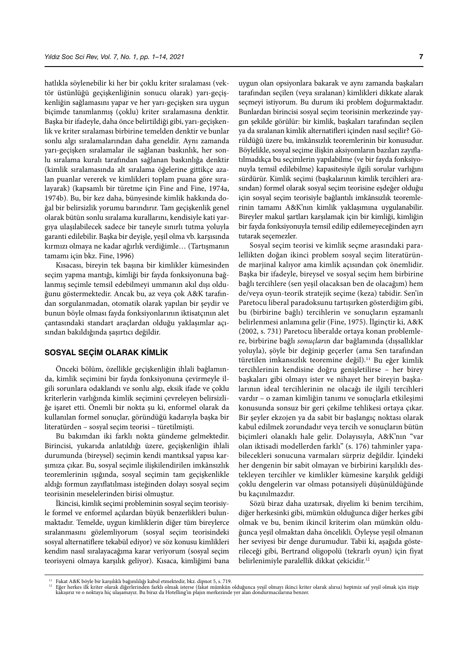hatlıkla söylenebilir ki her bir çoklu kriter sıralaması (vektör üstünlüğü geçişkenliğinin sonucu olarak) yarı-geçişkenliğin sağlamasını yapar ve her yarı-geçişken sıra uygun biçimde tanımlanmış (çoklu) kriter sıralamasına denktir. Başka bir ifadeyle, daha önce belirtildiği gibi, yarı-geçişkenlik ve kriter sıralaması birbirine temelden denktir ve bunlar sonlu algı sıralamalarından daha geneldir. Aynı zamanda yarı-geçişken sıralamalar ile sağlanan baskınlık, her sonlu sıralama kuralı tarafından sağlanan baskınlığa denktir (kimlik sıralamasında alt sıralama öğelerine gittikçe azalan puanlar vererek ve kimlikleri toplam puana göre sıralayarak) (kapsamlı bir türetme için Fine and Fine, 1974a, 1974b). Bu, bir kez daha, bünyesinde kimlik hakkında doğal bir belirsizlik yorumu barındırır. Tam geçişkenlik genel olarak bütün sonlu sıralama kurallarını, kendisiyle kati yargıya ulaşılabilecek sadece bir taneyle sınırlı tutma yoluyla garanti edilebilir. Başka bir deyişle, yeşil olma vb. karşısında kırmızı olmaya ne kadar ağırlık verdiğimle… (Tartışmanın tamamı için bkz. Fine, 1996)

Kısacası, bireyin tek başına bir kimlikler kümesinden seçim yapma mantığı, kimliği bir fayda fonksiyonuna bağlanmış seçimle temsil edebilmeyi ummanın akıl dışı olduğunu göstermektedir. Ancak bu, az veya çok A&K tarafından sorgulanmadan, otomatik olarak yapılan bir şeydir ve bunun böyle olması fayda fonksiyonlarının iktisatçının alet çantasındaki standart araçlardan olduğu yaklaşımlar açısından bakıldığında şaşırtıcı değildir.

#### **SOSYAL SEÇIM OLARAK KIMLIK**

Önceki bölüm, özellikle geçişkenliğin ihlali bağlamında, kimlik seçimini bir fayda fonksiyonuna çevirmeyle ilgili sorunlara odaklandı ve sonlu algı, eksik ifade ve çoklu kriterlerin varlığında kimlik seçimini çevreleyen belirsizliğe işaret etti. Önemli bir nokta şu ki, enformel olarak da kullanılan formel sonuçlar, göründüğü kadarıyla başka bir literatürden – sosyal seçim teorisi – türetilmişti.

Bu bakımdan iki farklı nokta gündeme gelmektedir. Birincisi, yukarıda anlatıldığı üzere, geçişkenliğin ihlali durumunda (bireysel) seçimin kendi mantıksal yapısı karşımıza çıkar. Bu, sosyal seçimle ilişkilendirilen imkânsızlık teoremlerinin ışığında, sosyal seçimin tam geçişkenlikle aldığı formun zayıflatılması isteğinden dolayı sosyal seçim teorisinin meselelerinden birisi olmuştur.

İkincisi, kimlik seçimi probleminin sosyal seçim teorisiyle formel ve enformel açılardan büyük benzerlikleri bulunmaktadır. Temelde, uygun kimliklerin diğer tüm bireylerce sıralanmasını gözlemliyorum (sosyal seçim teorisindeki sosyal alternatiflere tekabül ediyor) ve söz konusu kimlikleri kendim nasıl sıralayacağıma karar veriyorum (sosyal seçim teorisyeni olmaya karşılık geliyor). Kısaca, kimliğimi bana

uygun olan opsiyonlara bakarak ve aynı zamanda başkaları tarafından seçilen (veya sıralanan) kimlikleri dikkate alarak seçmeyi istiyorum. Bu durum iki problem doğurmaktadır. Bunlardan birincisi sosyal seçim teorisinin merkezinde yaygın şekilde görülür: bir kimlik, başkaları tarafından seçilen ya da sıralanan kimlik alternatifleri içinden nasıl seçilir? Görüldüğü üzere bu, imkânsızlık teoremlerinin bir konusudur. Böylelikle, sosyal seçime ilişkin aksiyomların bazıları zayıflatılmadıkça bu seçimlerin yapılabilme (ve bir fayda fonksiyonuyla temsil edilebilme) kapasitesiyle ilgili sorular varlığını sürdürür. Kimlik seçimi (başkalarının kimlik tercihleri arasından) formel olarak sosyal seçim teorisine eşdeğer olduğu için sosyal seçim teorisiyle bağlantılı imkânsızlık teoremlerinin tamamı A&K'nın kimlik yaklaşımına uygulanabilir. Bireyler makul şartları karşılamak için bir kimliği, kimliğin bir fayda fonksiyonuyla temsil edilip edilemeyeceğinden ayrı tutarak seçemezler.

Sosyal seçim teorisi ve kimlik seçme arasındaki paralellikten doğan ikinci problem sosyal seçim literatüründe marjinal kalıyor ama kimlik açısından çok önemlidir. Başka bir ifadeyle, bireysel ve sosyal seçim hem birbirine bağlı tercihlere (sen yeşil olacaksan ben de olacağım) hem de/veya oyun-teorik stratejik seçime (keza) tabidir. Sen'in Paretocu liberal paradoksunu tartışırken gösterdiğim gibi, bu (birbirine bağlı) tercihlerin ve sonuçların eşzamanlı belirlenmesi anlamına gelir (Fine, 1975). İlginçtir ki, A&K (2002, s. 731) Paretocu liberalde ortaya konan problemlere, birbirine bağlı *sonuçlar*ın dar bağlamında (dışsallıklar yoluyla), şöyle bir değinip geçerler (ama Sen tarafından türetilen imkansızlık teoremine değil).<sup>11</sup> Bu eğer kimlik tercihlerinin kendisine doğru genişletilirse – her birey başkaları gibi olmayı ister ve nihayet her bireyin başkalarının ideal tercihlerinin ne olacağı ile ilgili tercihleri vardır – o zaman kimliğin tanımı ve sonuçlarla etkileşimi konusunda sonsuz bir geri çekilme tehlikesi ortaya çıkar. Bir şeyler ekzojen ya da sabit bir başlangıç noktası olarak kabul edilmek zorundadır veya tercih ve sonuçların bütün biçimleri olanaklı hale gelir. Dolayısıyla, A&K'nın "var olan iktisadi modellerden farklı" (s. 176) tahminler yapabilecekleri sonucuna varmaları sürpriz değildir. İçindeki her dengenin bir sabit olmayan ve birbirini karşılıklı destekleyen tercihler ve kimlikler kümesine karşılık geldiği çoklu dengelerin var olması potansiyeli düşünüldüğünde bu kaçınılmazdır.

Sözü biraz daha uzatırsak, diyelim ki benim tercihim, diğer herkesinki gibi, mümkün olduğunca diğer herkes gibi olmak ve bu, benim ikincil kriterim olan mümkün olduğunca yeşil olmaktan daha öncelikli. Öyleyse yeşil olmanın her seviyesi bir denge durumudur. Tabii ki, aşağıda gösterileceği gibi, Bertrand oligopolü (tekrarlı oyun) için fiyat belirlenimiyle paralellik dikkat çekicidir.<sup>12</sup>

<sup>11</sup> Fakat A&K böyle bir karşılıklı bağımlılığı kabul etmektedir, bkz. dipnot 5, s. 719.<br>12 Eğer herkes ilk kriter olarak diğerlerinden farklı olmak isterse (fakat mümkün olduğunca yeşil olmayı ikinci kriter olarak alırsa) h kakışırız ve o noktaya hiç ulaşamayız. Bu biraz da Hotelling'in plajın merkezinde yer alan dondurmacılarına benzer.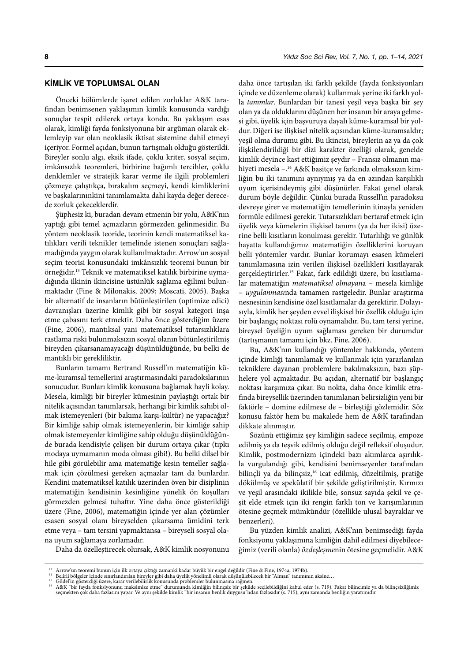#### **KIMLIK VE TOPLUMSAL OLAN**

Önceki bölümlerde işaret edilen zorluklar A&K tarafından benimsenen yaklaşımın kimlik konusunda vardığı sonuçlar tespit edilerek ortaya kondu. Bu yaklaşım esas olarak, kimliği fayda fonksiyonuna bir argüman olarak eklemleyip var olan neoklasik iktisat sistemine dahil etmeyi içeriyor. Formel açıdan, bunun tartışmalı olduğu gösterildi. Bireyler sonlu algı, eksik ifade, çoklu kriter, sosyal seçim, imkânsızlık teoremleri, birbirine bağımlı tercihler, çoklu denklemler ve stratejik karar verme ile ilgili problemleri çözmeye çalıştıkça, bırakalım seçmeyi, kendi kimliklerini ve başkalarınınkini tanımlamakta dahi kayda değer derecede zorluk çekeceklerdir.

Şüphesiz ki, buradan devam etmenin bir yolu, A&K'nın yaptığı gibi temel açmazların görmezden gelinmesidir. Bu yöntem neoklasik teoride, teorinin kendi matematiksel katılıkları verili teknikler temelinde istenen sonuçları sağlamadığında yaygın olarak kullanılmaktadır. Arrow'un sosyal seçim teorisi konusundaki imkânsızlık teoremi bunun bir örneğidir.13 Teknik ve matematiksel katılık birbirine uymadığında ilkinin ikincisine üstünlük sağlama eğilimi bulunmaktadır (Fine & Milonakis, 2009; Moscati, 2005). Başka bir alternatif de insanların bütünleştirilen (optimize edici) davranışları üzerine kimlik gibi bir sosyal kategori inşa etme çabasını terk etmektir. Daha önce gösterdiğim üzere (Fine, 2006), mantıksal yani matematiksel tutarsızlıklara rastlama riski bulunmaksızın sosyal olanın bütünleştirilmiş bireyden çıkarsanamayacağı düşünüldüğünde, bu belki de mantıklı bir gerekliliktir.

Bunların tamamı Bertrand Russell'ın matematiğin küme-kuramsal temellerini araştırmasındaki paradokslarının sonucudur. Bunları kimlik konusuna bağlamak hayli kolay. Mesela, kimliği bir bireyler kümesinin paylaştığı ortak bir nitelik açısından tanımlarsak, herhangi bir kimlik sahibi olmak istemeyenleri (bir bakıma karşı-kültür) ne yapacağız? Bir kimliğe sahip olmak istemeyenlerin, bir kimliğe sahip olmak istemeyenler kimliğine sahip olduğu düşünüldüğünde burada kendisiyle çelişen bir durum ortaya çıkar (tıpkı modaya uymamanın moda olması gibi!). Bu belki dilsel bir hile gibi görülebilir ama matematiğe kesin temeller sağlamak için çözülmesi gereken açmazlar tam da bunlardır. Kendini matematiksel katılık üzerinden öven bir disiplinin matematiğin kendisinin kesinliğine yönelik ön koşulları görmezden gelmesi tuhaftır. Yine daha önce gösterildiği üzere (Fine, 2006), matematiğin içinde yer alan çözümler esasen sosyal olanı bireyselden çıkarsama ümidini terk etme veya – tam tersini yapmaktansa – bireyseli sosyal olana uyum sağlamaya zorlamadır.

daha önce tartışılan iki farklı şekilde (fayda fonksiyonları içinde ve düzenleme olarak) kullanmak yerine iki farklı yolla *tanımlar*. Bunlardan bir tanesi yeşil veya başka bir şey olan ya da olduklarını düşünen her insanın bir araya gelmesi gibi, üyelik için başvuruya dayalı küme-kuramsal bir yoldur. Diğeri ise ilişkisel nitelik açısından küme-kuramsaldır; yeşil olma durumu gibi. Bu ikincisi, bireylerin az ya da çok ilişkilendirildiği bir dizi karakter özelliği olarak, genelde kimlik deyince kast ettiğimiz şeydir – Fransız olmanın mahiyeti mesela –.14 A&K basitçe ve farkında olmaksızın kimliğin bu iki tanımını aynıymış ya da en azından karşılıklı uyum içerisindeymiş gibi düşünürler. Fakat genel olarak durum böyle değildir. Çünkü burada Russell'ın paradoksu devreye girer ve matematiğin temellerinin itinayla yeniden formüle edilmesi gerekir. Tutarsızlıkları bertaraf etmek için üyelik veya kümelerin ilişkisel tanımı (ya da her ikisi) üzerine belli kısıtların konulması gerekir. Tutarlılığı ve günlük hayatta kullandığımız matematiğin özelliklerini koruyan belli yöntemler vardır. Bunlar korumayı esasen kümeleri tanımlamasına izin verilen ilişkisel özellikleri kısıtlayarak gerçekleştirirler.15 Fakat, fark edildiği üzere, bu kısıtlamalar matematiğin *matematiksel olmayan*a – mesela kimliğe – *uygulanması*nda tamamen rastgeledir. Bunlar araştırma nesnesinin kendisine özel kısıtlamalar da gerektirir. Dolayısıyla, kimlik her şeyden evvel ilişkisel bir özellik olduğu için bir başlangıç noktası rolü oynamalıdır. Bu, tam tersi yerine, bireysel üyeliğin uyum sağlaması gereken bir durumdur (tartışmanın tamamı için bkz. Fine, 2006).

Bu, A&K'nın kullandığı yöntemler hakkında, yöntem içinde kimliği tanımlamak ve kullanmak için yararlanılan tekniklere dayanan problemlere bakılmaksızın, bazı şüphelere yol açmaktadır. Bu açıdan, alternatif bir başlangıç noktası karşımıza çıkar. Bu nokta, daha önce kimlik etrafında bireysellik üzerinden tanımlanan belirsizliğin yeni bir faktörle – domine edilmese de – birleştiği gözlemidir. Söz konusu faktör hem bu makalede hem de A&K tarafından dikkate alınmıştır.

Sözünü ettiğimiz şey kimliğin sadece seçilmiş, empoze edilmiş ya da teşvik edilmiş olduğu değil refleksif oluşudur. Kimlik, postmodernizm içindeki bazı akımlarca aşırılıkla vurgulandığı gibi, kendisini benimseyenler tarafından bilinçli ya da bilinçsiz,16 icat edilmiş, düzeltilmiş, pratiğe dökülmüş ve spekülatif bir şekilde geliştirilmiştir. Kırmızı ve yeşil arasındaki ikilikle bile, sonsuz sayıda şekil ve çeşit elde etmek için iki rengin farklı ton ve karışımlarının ötesine geçmek mümkündür (özellikle ulusal bayraklar ve benzerleri).

Bu yüzden kimlik analizi, A&K'nın benimsediği fayda fonksiyonu yaklaşımına kimliğin dahil edilmesi diyebileceğimiz (verili olanla) *özdeşleşme*nin ötesine geçmelidir. A&K

Daha da özelleştirecek olursak, A&K kimlik nosyonunu

<sup>13</sup> Arrow'un teoremi bunun için ilk ortaya çıktığı zamanki kadar büyük bir engel değildir (Fine & Fine, 1974a, 1974b).<br>15 Belirli bölgeler içinde sınırlandırılan bireyler gibi daha üyelik yönelimli olarak düşünülebilecek bi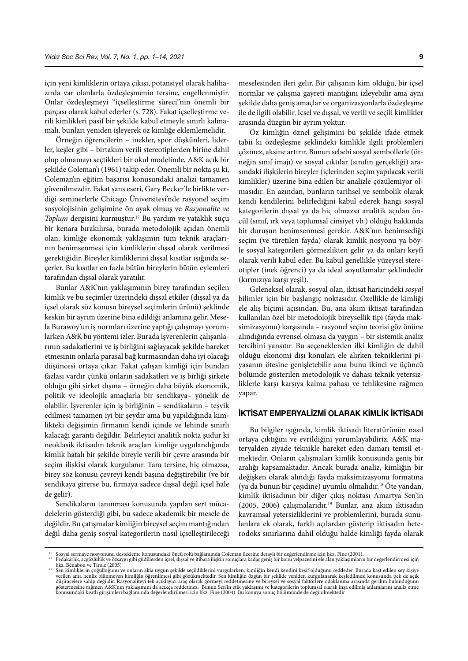için yeni kimliklerin ortaya çıkışı, potansiyel olarak halihazırda var olanlarla özdeşleşmenin tersine, engellenmiştir. Onlar özdeşleşmeyi "içselleştirme süreci"nin önemli bir parçası olarak kabul ederler (s. 728). Fakat içselleştirme verili kimlikleri pasif bir şekilde kabul etmeyle sınırlı kalmamalı, bunları yeniden işleyerek öz kimliğe eklemlemelidir.

Örneğin öğrencilerin – inekler, spor düşkünleri, liderler, keşler gibi – birtakım verili stereotiplerden birine dahil olup olmamayı seçtikleri bir okul modelinde, A&K açık bir şekilde Coleman'ı (1961) takip eder. Önemli bir nokta şu ki, Coleman'ın eğitim başarısı konusundaki analizi tamamen güvenilmezdir. Fakat şans eseri, Gary Becker'le birlikte verdiği seminerlerle Chicago Üniversitesi'nde rasyonel seçim sosyolojisinin gelişimine ön ayak olmuş ve *Rasyonalite ve Toplum* dergisini kurmuştur.17 Bu yardım ve yataklık suçu bir kenara bırakılırsa, burada metodolojik açıdan önemli olan, kimliğe ekonomik yaklaşımın tüm teknik araçlarının benimsenmesi için kimliklerin dışsal olarak verilmesi gerektiğidir. Bireyler kimliklerini dışsal kısıtlar ışığında seçerler. Bu kısıtlar en fazla bütün bireylerin bütün eylemleri tarafından dışsal olarak yaratılır.

Bunlar A&K'nın yaklaşımının birey tarafından seçilen kimlik ve bu seçimler üzerindeki dışsal etkiler (dışsal ya da içsel olarak söz konusu bireysel seçimlerin ürünü) şeklinde keskin bir ayrım üzerine bina edildiği anlamına gelir. Mesela Burawoy'un iş normları üzerine yaptığı çalışmayı yorumlarken A&K bu yöntemi izler. Burada işverenlerin çalışanlarının sadakatlerini ve iş birliğini sağlayacak şekilde hareket etmesinin onlarla parasal bağ kurmasından daha iyi olacağı düşüncesi ortaya çıkar. Fakat çalışan kimliği için bundan fazlası vardır çünkü onların sadakatleri ve iş birliği şirkete olduğu gibi şirket dışına – örneğin daha büyük ekonomik, politik ve ideolojik amaçlarla bir sendikaya– yönelik de olabilir. İşverenler için iş birliğinin – sendikaların – teşvik edilmesi tamamen iyi bir şeydir ama bu yapıldığında kimlikteki değişimin firmanın kendi içinde ve lehinde sınırlı kalacağı garanti değildir. Belirleyici analitik nokta şudur ki neoklasik iktisadın teknik araçları kimliğe uygulandığında kimlik hatalı bir şekilde bireyle verili bir çevre arasında bir seçim ilişkisi olarak kurgulanır. Tam tersine, hiç olmazsa, birey söz konusu çevreyi kendi başına değiştirebilir (ve bir sendikaya girerse bu, firmaya sadece dışsal değil içsel hale de gelir).

Sendikaların tanınması konusunda yapılan sert mücadelelerin gösterdiği gibi, bu sadece akademik bir mesele de değildir. Bu çatışmalar kimliğin bireysel seçim mantığından değil daha geniş sosyal kategorilerin nasıl içselleştirileceği meselesinden ileri gelir. Bir çalışanın kim olduğu, bir içsel normlar ve çalışma gayreti mantığını izleyebilir ama aynı şekilde daha geniş amaçlar ve organizasyonlarla özdeşleşme ile de ilgili olabilir. İçsel ve dışsal, ve verili ve seçili kimlikler arasında düzgün bir ayrım yoktur.

Öz kimliğin öznel gelişimini bu şekilde ifade etmek tabii ki özdeşleşme şeklindeki kimlikle ilgili problemleri çözmez, aksine artırır. Bunun sebebi sosyal sembollerle (örneğin sınıf imajı) ve sosyal çıktılar (sınıfın gerçekliği) arasındaki ilişkilerin bireyler (içlerinden seçim yapılacak verili kimlikler) üzerine bina edilen bir analizle çözülemiyor olmasıdır. En azından, bunların tarihsel ve sembolik olarak kendi kendilerini belirlediğini kabul ederek hangi sosyal kategorilerin dışsal ya da hiç olmazsa analitik açıdan öncül (sınıf, ırk veya toplumsal cinsiyet vb.) olduğu hakkında bir duruşun benimsenmesi gerekir. A&K'nın benimsediği seçim (ve türetilen fayda) olarak kimlik nosyonu ya böyle sosyal kategorileri görmezlikten gelir ya da onları keyfi olarak verili kabul eder. Bu kabul genellikle yüzeysel stereotipler (inek öğrenci) ya da ideal soyutlamalar şeklindedir (kırmızıya karşı yeşil).

Geleneksel olarak, sosyal olan, iktisat haricindeki *sosyal* bilimler için bir başlangıç noktasıdır. Özellikle de kimliği ele alış biçimi açısından. Bu, ana akım iktisat tarafından kullanılan özel bir metodolojik bireysellik tipi (fayda maksimizasyonu) karşısında – rasyonel seçim teorisi göz önüne alındığında evrensel olmasa da yaygın – bir sistemik analiz tercihini yansıtır. Bu seçeneklerden ilki kimliğin de dahil olduğu ekonomi dışı konuları ele alırken tekniklerini piyasanın ötesine genişletebilir ama bunu ikinci ve üçüncü bölümde gösterilen metodolojik ve dahası teknik yetersizliklerle karşı karşıya kalma pahası ve tehlikesine rağmen yapar.

## **İKTISAT EMPERYALIZMI OLARAK KIMLIK İKTISADI**

Bu bilgiler ışığında, kimlik iktisadı literatürünün nasıl ortaya çıktığını ve evrildiğini yorumlayabiliriz. A&K materyalden ziyade teknikle hareket eden damarı temsil etmektedir. Onların çalışmaları kimlik konusunda geniş bir aralığı kapsamaktadır. Ancak burada analiz, kimliğin bir değişken olarak alındığı fayda maksimizasyonu formatına (ya da bunun bir çeşidine) uyumlu olmalıdır.18 Öte yandan, kimlik iktisadının bir diğer çıkış noktası Amartya Sen'in (2005, 2006) çalışmalarıdır.<sup>19</sup> Bunlar, ana akım iktisadın kavramsal yetersizliklerini ve problemlerini, burada sunulanlara ek olarak, farklı açılardan gösterip iktisadın heterodoks sınırlarına dahil olduğu halde kimliği fayda olarak

Sosyal sermaye nosyonunu destekleme konusundaki öncü rolü bağlamında Coleman üzerine detaylı bir değerlendirme için bkz. Fine (2001).<br>Fedakârlık, açgözlülük ve özsaygı gibi güdülerden içsel, dışsal ve itibara ilişkin sonuç

bkz. Bénabou ve Tirole (2005) <sup>19</sup> Sen kimliklerin çoğulluğunu ve onların akla uygun şekilde seçildiklerini vurgularken, kimliğin kendi kendini keşif olduğunu reddeder. Burada kast edilen şey kişiye verilen ama henüz bilinmeyen kimliğin öğrenilmesi gibi gözükmektedir. Sen kimliğin özgün bir şekilde yeniden kurgulanarak keşfedilmesi konusunda pek de açık<br>düşüncelere sahip değildir. Rasyonaliteyi tek açıklayıcı araç ola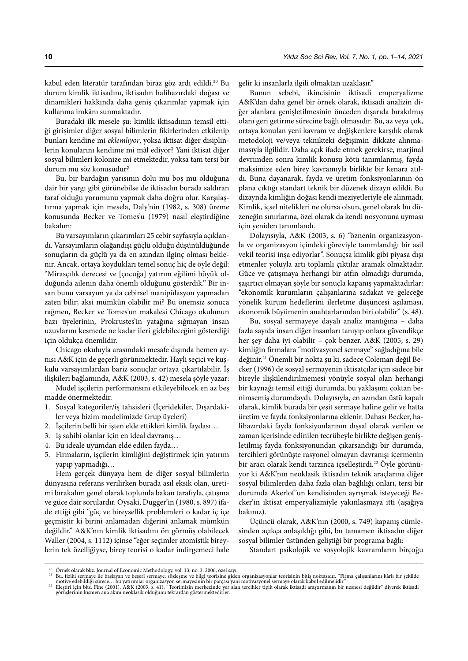kabul eden literatür tarafından biraz göz ardı edildi.20 Bu durum kimlik iktisadını, iktisadın halihazırdaki doğası ve dinamikleri hakkında daha geniş çıkarımlar yapmak için kullanma imkânı sunmaktadır.

Buradaki ilk mesele şu: kimlik iktisadının temsil ettiği girişimler diğer sosyal bilimlerin fikirlerinden etkilenip bunları kendine mi *eklemliyor*, yoksa iktisat diğer disiplinlerin konularını kendime mi mâl ediyor? Yani iktisat diğer sosyal bilimleri kolonize mi etmektedir, yoksa tam tersi bir durum mu söz konusudur?

Bu, bir bardağın yarısının dolu mu boş mu olduğuna dair bir yargı gibi görünebilse de iktisadın burada saldıran taraf olduğu yorumunu yapmak daha doğru olur. Karşılaştırma yapmak için mesela, Daly'nin (1982, s. 308) üreme konusunda Becker ve Tomes'u (1979) nasıl eleştirdiğine bakalım:

Bu varsayımların çıkarımları 25 cebir sayfasıyla açıklandı. Varsayımların olağandışı güçlü olduğu düşünüldüğünde sonuçların da güçlü ya da en azından ilginç olması beklenir. Ancak, ortaya koydukları temel sonuç hiç de öyle değil: "Mirasçılık derecesi ve [çocuğa] yatırım eğilimi büyük olduğunda ailenin daha önemli olduğunu gösterdik." Bir insan bunu varsayım ya da cebirsel manipülasyon yapmadan zaten bilir; aksi mümkün olabilir mi? Bu önemsiz sonuca rağmen, Becker ve Tomes'un makalesi Chicago okulunun bazı üyelerinin, Prokrustes'in yatağına sığmayan insan uzuvlarını kesmede ne kadar ileri gidebileceğini gösterdiği için oldukça önemlidir.

Chicago okuluyla arasındaki mesafe dışında hemen aynısı A&K için de geçerli görünmektedir. Hayli seçici ve kuşkulu varsayımlardan bariz sonuçlar ortaya çıkartılabilir. İş ilişkileri bağlamında, A&K (2003, s. 42) mesela şöyle yazar:

Model işçilerin performansını etkileyebilecek en az beş madde önermektedir.

- 1. Sosyal kategoriler/iş tahsisleri (İçeridekiler, Dışardakiler veya bizim modelimizde Grup üyeleri)
- 2. İşçilerin belli bir işten elde ettikleri kimlik faydası…
- 3. İş sahibi olanlar için en ideal davranış…
- 4. Bu ideale uyumdan elde edilen fayda…
- 5. Firmaların, işçilerin kimliğini değiştirmek için yatırım yapıp yapmadığı…

Hem gerçek dünyaya hem de diğer sosyal bilimlerin dünyasına referans verilirken burada asıl eksik olan, üretimi bırakalım genel olarak toplumla bakan tarafıyla, çatışma ve güce dair sorulardır. Oysaki, Dugger'in (1980, s. 897) ifade ettiği gibi "güç ve bireysellik problemleri o kadar iç içe geçmiştir ki birini anlamadan diğerini anlamak mümkün değildir." A&K'nın kimlik iktisadını ön görmüş olabilecek Waller (2004, s. 1112) içinse "eğer seçimler atomistik bireylerin tek özelliğiyse, birey teorisi o kadar indirgemeci hale

gelir ki insanlarla ilgili olmaktan uzaklaşır."

Bunun sebebi, ikincisinin iktisadi emperyalizme A&K'dan daha genel bir örnek olarak, iktisadi analizin diğer alanlara genişletilmesinin önceden dışarıda bırakılmış olanı geri getirme sürecine bağlı olmasıdır. Bu, az veya çok, ortaya konulan yeni kavram ve değişkenlere karşılık olarak metodoloji ve/veya teknikteki değişimin dikkate alınmamasıyla ilgilidir. Daha açık ifade etmek gerekirse, marjinal devrimden sonra kimlik konusu kötü tanımlanmış, fayda maksimize eden birey kavramıyla birlikte bir kenara atıldı. Buna dayanarak, fayda ve üretim fonksiyonlarının ön plana çıktığı standart teknik bir düzenek dizayn edildi. Bu dizaynda kimliğin doğası kendi meziyetleriyle ele alınmadı. Kimlik, içsel nitelikleri ne olursa olsun, genel olarak bu düzeneğin sınırlarına, özel olarak da kendi nosyonuna uyması için yeniden tanımlandı.

Dolayısıyla, A&K (2003, s. 6) "öznenin organizasyonla ve organizasyon içindeki göreviyle tanımlandığı bir asil vekil teorisi inşa ediyorlar". Sonuçsa kimlik gibi piyasa dışı etmenler yoluyla artı toplamlı çıktılar aramak olmaktadır. Güce ve çatışmaya herhangi bir atfın olmadığı durumda, şaşırtıcı olmayan şöyle bir sonuçla kapanış yapmaktadırlar: "ekonomik kurumların çalışanlarına sadakat ve geleceğe yönelik kurum hedeflerini ilerletme düşüncesi aşılaması, ekonomik büyümenin anahtarlarından biri olabilir" (s. 48).

Bu, sosyal sermayeye dayalı analiz mantığına – daha fazla sayıda insan diğer insanları tanıyıp onlara güvendikçe her şey daha iyi olabilir – çok benzer. A&K (2005, s. 29) kimliğin firmalara "motivasyonel sermaye" sağladığına bile değinir.21 Önemli bir nokta şu ki, sadece Coleman değil Becker (1996) de sosyal sermayenin iktisatçılar için sadece bir bireyle ilişkilendirilmemesi yönüyle sosyal olan herhangi bir kaynağı temsil ettiği durumda, bu yaklaşımı çoktan benimsemiş durumdaydı. Dolayısıyla, en azından üstü kapalı olarak, kimlik burada bir çeşit sermaye haline gelir ve hatta üretim ve fayda fonksiyonlarına eklenir. Dahası Becker, halihazırdaki fayda fonksiyonlarının dışsal olarak verilen ve zaman içerisinde edinilen tecrübeyle birlikte değişen genişletilmiş fayda fonksiyonundan çıkarsandığı bir durumda, tercihleri görünüşte rasyonel olmayan davranışı içermenin bir aracı olarak kendi tarzınca içselleştirdi.<sup>22</sup> Öyle görünüyor ki A&K'nın neoklasik iktisadın teknik araçlarına diğer sosyal bilimlerden daha fazla olan bağlılığı onları, tersi bir durumda Akerlof'un kendisinden ayrışmak isteyeceği Becker'in iktisat emperyalizmiyle yakınlaşmaya itti (aşağıya bakınız).

Üçüncü olarak, A&K'nın (2000, s. 749) kapanış cümlesinden açıkça anlaşıldığı gibi, bu tamamen iktisadın diğer sosyal bilimler üstünden geliştiği bir programa bağlı:

Standart psikolojik ve sosyolojik kavramların birçoğu

<sup>&</sup>lt;sup>20</sup> Örnek olarak bkz. Journal of Economic Methodology, vol. 13, no. 3, 2006, özel sayı.<br><sup>21</sup> Bu, fiziki sermaye ile başlayan ve beşerî sermaye, sözleşme ve bilgi teorisine giden organizasyonlar teorisinin bitiş noktasıdır

motive edebildiği sürece… bu yatırımlar organizasyon sermayesinin bir parçası yani motivasyonel sermaye olarak kabul edilmelidir."<br>24 Eleştiri için bkz. Fine (2001). A&K (2003, s. 41), "Teorimizin merkezinde yer alan terci görüşlerinin kısmen ana akım neoklasik olduğunu tekrardan göstermektedirler.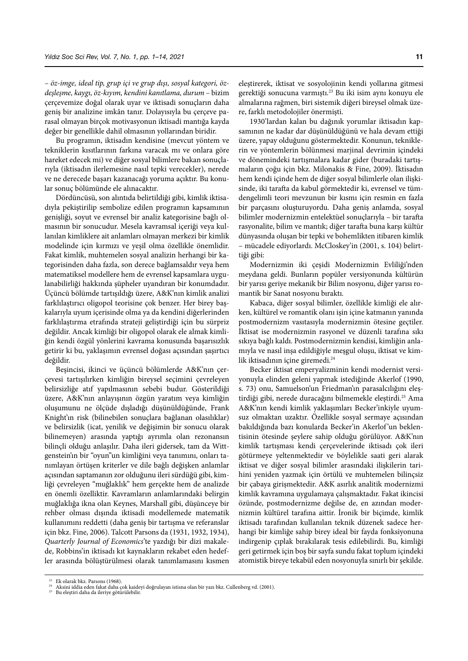– *öz-imge, ideal tip, grup içi ve grup dışı, sosyal kategori, özdeşleşme, kaygı, öz-kıyım, kendini kanıtlama, durum* – bizim çerçevemize doğal olarak uyar ve iktisadi sonuçların daha geniş bir analizine imkân tanır. Dolayısıyla bu çerçeve parasal olmayan birçok motivasyonun iktisadi mantığa kayda değer bir genellikle dahil olmasının yollarından biridir.

Bu programın, iktisadın kendisine (mevcut yöntem ve tekniklerin kısıtlarının farkına varacak mı ve onlara göre hareket edecek mi) ve diğer sosyal bilimlere bakan sonuçlarıyla (iktisadın ilerlemesine nasıl tepki verecekler), nerede ve ne derecede başarı kazanacağı yoruma açıktır. Bu konular sonuç bölümünde ele alınacaktır.

Dördüncüsü, son alıntıda belirtildiği gibi, kimlik iktisadıyla pekiştirilip sembolize edilen programın kapsamının genişliği, soyut ve evrensel bir analiz kategorisine bağlı olmasının bir sonucudur. Mesela kavramsal içeriği veya kullanılan kimliklere ait anlamları olmayan merkezi bir kimlik modelinde için kırmızı ve yeşil olma özellikle önemlidir. Fakat kimlik, muhtemelen sosyal analizin herhangi bir kategorisinden daha fazla, son derece bağlamsaldır veya hem matematiksel modellere hem de evrensel kapsamlara uygulanabilirliği hakkında şüpheler uyandıran bir konumdadır. Üçüncü bölümde tartışıldığı üzere, A&K'nın kimlik analizi farklılaştırıcı oligopol teorisine çok benzer. Her birey başkalarıyla uyum içerisinde olma ya da kendini diğerlerinden farklılaştırma etrafında strateji geliştirdiği için bu sürpriz değildir. Ancak kimliği bir oligopol olarak ele almak kimliğin kendi özgül yönlerini kavrama konusunda başarısızlık getirir ki bu, yaklaşımın evrensel doğası açısından şaşırtıcı değildir.

Beşincisi, ikinci ve üçüncü bölümlerde A&K'nın çerçevesi tartışılırken kimliğin bireysel seçimini çevreleyen belirsizliğe atıf yapılmasının sebebi budur. Gösterildiği üzere, A&K'nın anlayışının özgün yaratım veya kimliğin oluşumunu ne ölçüde dışladığı düşünüldüğünde, Frank Knight'ın risk (bilinebilen sonuçlara bağlanan olasılıklar) ve belirsizlik (icat, yenilik ve değişimin bir sonucu olarak bilinemeyen) arasında yaptığı ayrımla olan rezonansın bilinçli olduğu anlaşılır. Daha ileri gidersek, tam da Wittgenstein'ın bir "oyun"un kimliğini veya tanımını, onları tanımlayan örtüşen kriterler ve dile bağlı değişken anlamlar açısından saptamanın zor olduğunu ileri sürdüğü gibi, kimliği çevreleyen "muğlaklık" hem gerçekte hem de analizde en önemli özelliktir. Kavramların anlamlarındaki belirgin muğlaklığa ikna olan Keynes, Marshall gibi, düşünceye bir rehber olması dışında iktisadi modellemede matematik kullanımını reddetti (daha geniş bir tartışma ve referanslar için bkz. Fine, 2006). Talcott Parsons da (1931, 1932, 1934), *Quarterly Journal of Economics*'te yazdığı bir dizi makalede, Robbins'in iktisadı kıt kaynakların rekabet eden hedefler arasında bölüştürülmesi olarak tanımlamasını kısmen

eleştirerek, iktisat ve sosyolojinin kendi yollarına gitmesi gerektiği sonucuna varmıştı.<sup>23</sup> Bu iki isim aynı konuyu ele almalarına rağmen, biri sistemik diğeri bireysel olmak üzere, farklı metodolojiler önermişti.

1930'lardan kalan bu dağınık yorumlar iktisadın kapsamının ne kadar dar düşünüldüğünü ve hala devam ettiği üzere, yapay olduğunu göstermektedir. Konunun, tekniklerin ve yöntemlerin bölünmesi marjinal devrimin içindeki ve dönemindeki tartışmalara kadar gider (buradaki tartışmaların çoğu için bkz. Milonakis & Fine, 2009). İktisadın hem kendi içinde hem de diğer sosyal bilimlerle olan ilişkisinde, iki tarafta da kabul görmektedir ki, evrensel ve tümdengelimli teori mevzunun bir kısmı için resmin en fazla bir parçasını oluşturuyordu. Daha geniş anlamda, sosyal bilimler modernizmin entelektüel sonuçlarıyla – bir tarafta rasyonalite, bilim ve mantık; diğer tarafta buna karşı kültür dünyasında oluşan bir tepki ve bohemlikten itibaren kimlik – mücadele ediyorlardı. McCloskey'in (2001, s. 104) belirttiği gibi:

Modernizmin iki çeşidi Modernizmin Evliliği'nden meydana geldi. Bunların popüler versiyonunda kültürün bir yarısı geriye mekanik bir Bilim nosyonu, diğer yarısı romantik bir Sanat nosyonu bıraktı.

Kabaca, diğer sosyal bilimler, özellikle kimliği ele alırken, kültürel ve romantik olanı işin içine katmanın yanında postmodernizm vasıtasıyla modernizmin ötesine geçtiler. İktisat ise modernizmin rasyonel ve düzenli tarafına sıkı sıkıya bağlı kaldı. Postmodernizmin kendisi, kimliğin anlamıyla ve nasıl inşa edildiğiyle meşgul oluşu, iktisat ve kimlik iktisadının içine giremedi.<sup>24</sup>

Becker iktisat emperyalizminin kendi modernist versiyonuyla elinden geleni yapmak istediğinde Akerlof (1990, s. 73) onu, Samuelson'un Friedman'ın parasalcılığını eleştirdiği gibi, nerede duracağını bilmemekle eleştirdi.<sup>25</sup> Ama A&K'nın kendi kimlik yaklaşımları Becker'inkiyle uyumsuz olmaktan uzaktır. Özellikle sosyal sermaye açısından bakıldığında bazı konularda Becker'in Akerlof 'un beklentisinin ötesinde şeylere sahip olduğu görülüyor. A&K'nın kimlik tartışması kendi çerçevelerinde iktisadı çok ileri götürmeye yeltenmektedir ve böylelikle saati geri alarak iktisat ve diğer sosyal bilimler arasındaki ilişkilerin tarihini yeniden yazmak için örtülü ve muhtemelen bilinçsiz bir çabaya girişmektedir. A&K asırlık analitik modernizmi kimlik kavramına uygulamaya çalışmaktadır. Fakat ikincisi özünde, postmodernizme değilse de, en azından modernizmin kültürel tarafına aittir. İronik bir biçimde, kimlik iktisadı tarafından kullanılan teknik düzenek sadece herhangi bir kimliğe sahip birey ideal bir fayda fonksiyonuna indirgenip çıplak bırakılarak tesis edilebilirdi. Bu, kimliği geri getirmek için boş bir sayfa sundu fakat toplum içindeki atomistik bireye tekabül eden nosyonuyla sınırlı bir şekilde.

<sup>&</sup>lt;sup>23</sup> Ek olarak bkz. Parsons (1968). 24 Aksini iddia eden fakat daha bir yazı bkz. Cullenberg vd. (2001). 25 Bu eleştiri daha da ileriye götürülebilir. 25 Bu eleştiri daha da ileriye götürülebilir.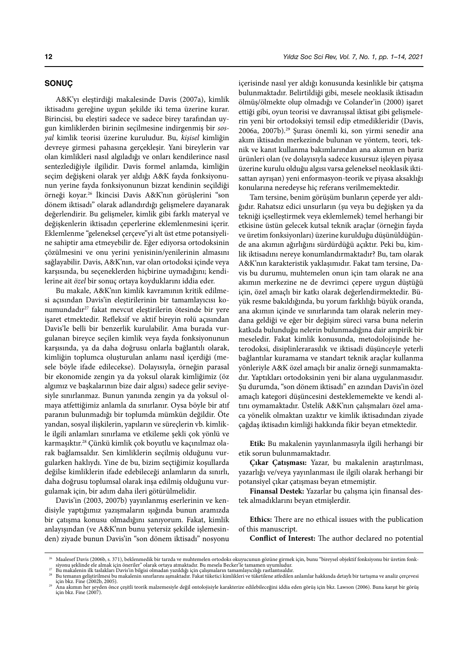### **SONUÇ**

A&K'yı eleştirdiği makalesinde Davis (2007a), kimlik iktisadını gereğine uygun şekilde iki tema üzerine kurar. Birincisi, bu eleştiri sadece ve sadece birey tarafından uygun kimliklerden birinin seçilmesine indirgenmiş bir *sosyal* kimlik teorisi üzerine kuruludur. Bu, *kişisel* kimliğin devreye girmesi pahasına gerçekleşir. Yani bireylerin var olan kimlikleri nasıl algıladığı ve onları kendilerince nasıl sentezlediğiyle ilgilidir. Davis formel anlamda, kimliğin seçim değişkeni olarak yer aldığı A&K fayda fonksiyonunun yerine fayda fonksiyonunun bizzat kendinin seçildiği örneği koyar.26 İkincisi Davis A&K'nın görüşlerini "son dönem iktisadı" olarak adlandırdığı gelişmelere dayanarak değerlendirir. Bu gelişmeler, kimlik gibi farklı materyal ve değişkenlerin iktisadın çeperlerine eklemlenmesini içerir. Eklemlenme "geleneksel çerçeve"yi alt üst etme potansiyeline sahiptir ama etmeyebilir de. Eğer ediyorsa ortodoksinin çözülmesini ve onu yerini yenisinin/yenilerinin almasını sağlayabilir. Davis, A&K'nın, var olan ortodoksi içinde veya karşısında, bu seçeneklerden hiçbirine uymadığını; kendilerine ait *özel* bir sonuç ortaya koyduklarını iddia eder.

Bu makale, A&K'nın kimlik kavramının kritik edilmesi açısından Davis'in eleştirilerinin bir tamamlayıcısı konumundadır27 fakat mevcut eleştirilerin ötesinde bir yere işaret etmektedir. Refleksif ve aktif bireyin rolü açısından Davis'le belli bir benzerlik kurulabilir. Ama burada vurgulanan bireyce seçilen kimlik veya fayda fonksiyonunun karşısında, ya da daha doğrusu onlarla bağlantılı olarak, kimliğin toplumca oluşturulan anlamı nasıl içerdiği (mesele böyle ifade edilecekse). Dolayısıyla, örneğin parasal bir ekonomide zengin ya da yoksul olarak kimliğimiz (öz algımız ve başkalarının bize dair algısı) sadece gelir seviyesiyle sınırlanmaz. Bunun yanında zengin ya da yoksul olmaya atfettiğimiz anlamla da sınırlanır. Oysa böyle bir atıf paranın bulunmadığı bir toplumda mümkün değildir. Öte yandan, sosyal ilişkilerin, yapıların ve süreçlerin vb. kimlikle ilgili anlamları sınırlama ve etkileme şekli çok yönlü ve karmaşıktır.28 Çünkü kimlik çok boyutlu ve kaçınılmaz olarak bağlamsaldır. Sen kimliklerin seçilmiş olduğunu vurgularken haklıydı. Yine de bu, bizim seçtiğimiz koşullarda değilse kimliklerin ifade edebileceği anlamların da sınırlı, daha doğrusu toplumsal olarak inşa edilmiş olduğunu vurgulamak için, bir adım daha ileri götürülmelidir.

Davis'in (2003, 2007b) yayınlanmış eserlerinin ve kendisiyle yaptığımız yazışmaların ışığında bunun aramızda bir çatışma konusu olmadığını sanıyorum. Fakat, kimlik anlayışından (ve A&K'nın bunu yetersiz şekilde işlemesinden) ziyade bunun Davis'in "son dönem iktisadı" nosyonu

içerisinde nasıl yer aldığı konusunda kesinlikle bir çatışma bulunmaktadır. Belirtildiği gibi, mesele neoklasik iktisadın ölmüş/ölmekte olup olmadığı ve Colander'in (2000) işaret ettiği gibi, oyun teorisi ve davranışsal iktisat gibi gelişmelerin yeni bir ortodoksiyi temsil edip etmedikleridir (Davis, 2006a, 2007b).29 Şurası önemli ki, son yirmi senedir ana akım iktisadın merkezinde bulunan ve yöntem, teori, teknik ve kanıt kullanma bakımlarından ana akımın en bariz ürünleri olan (ve dolayısıyla sadece kusursuz işleyen piyasa üzerine kurulu olduğu algısı varsa geleneksel neoklasik iktisattan ayrışan) yeni enformasyon-teorik ve piyasa aksaklığı konularına neredeyse hiç referans verilmemektedir.

Tam tersine, benim görüşüm bunların çeperde yer aldığıdır. Rahatsız edici unsurların (şu veya bu değişken ya da tekniği içselleştirmek veya eklemlemek) temel herhangi bir etkisine üstün gelecek kutsal teknik araçlar (örneğin fayda ve üretim fonksiyonları) üzerine kurulduğu düşünüldüğünde ana akımın ağırlığını sürdürdüğü açıktır. Peki bu, kimlik iktisadını nereye konumlandırmaktadır? Bu, tam olarak A&K'nın karakteristik yaklaşımıdır. Fakat tam tersine, Davis bu durumu, muhtemelen onun için tam olarak ne ana akımın merkezine ne de devrimci çepere uygun düştüğü için, özel amaçlı bir katkı olarak değerlendirmektedir. Büyük resme bakıldığında, bu yorum farklılığı büyük oranda, ana akımın içinde ve sınırlarında tam olarak nelerin meydana geldiği ve eğer bir değişim süreci varsa buna nelerin katkıda bulunduğu nelerin bulunmadığına dair ampirik bir meseledir. Fakat kimlik konusunda, metodolojisinde heterodoksi, disiplinlerarasılık ve iktisadi düşünceyle yeterli bağlantılar kuramama ve standart teknik araçlar kullanma yönleriyle A&K özel amaçlı bir analiz örneği sunmamaktadır. Yaptıkları ortodoksinin yeni bir alana uygulanmasıdır. Şu durumda, "son dönem iktisadı" en azından Davis'in özel amaçlı kategori düşüncesini desteklememekte ve kendi altını oymamaktadır. Üstelik A&K'nın çalışmaları özel amaca yönelik olmaktan uzaktır ve kimlik iktisadından ziyade çağdaş iktisadın kimliği hakkında fikir beyan etmektedir.

**Etik:** Bu makalenin yayınlanmasıyla ilgili herhangi bir etik sorun bulunmamaktadır.

**Çıkar Çatışması:** Yazar, bu makalenin araştırılması, yazarlığı ve/veya yayınlanması ile ilgili olarak herhangi bir potansiyel çıkar çatışması beyan etmemiştir.

**Finansal Destek:** Yazarlar bu çalışma için finansal destek almadıklarını beyan etmişlerdir.

**Ethics:** There are no ethical issues with the publication of this manuscript.

**Conflict of Interest:** The author declared no potential

Maalesef Davis (2006b, s. 371), beklenmedik bir tarzda ve muhtemelen ortodoks okuyucunun gözüne girmek için, bunu "bireysel objektif fonksiyonu bir üretim fonksiyonu geklinde ele almak için öneriler" olarak ortaya atmaktad

için bkz. Fine (2002b, 2005). <sup>29</sup> Ana akımın her şeyden önce çeşitli teorik malzemesiyle değil ontolojisiyle karakterize edilebileceğini iddia eden görüş için bkz. Lawson (2006). Buna karşıt bir görüş için bkz. Fine (2007).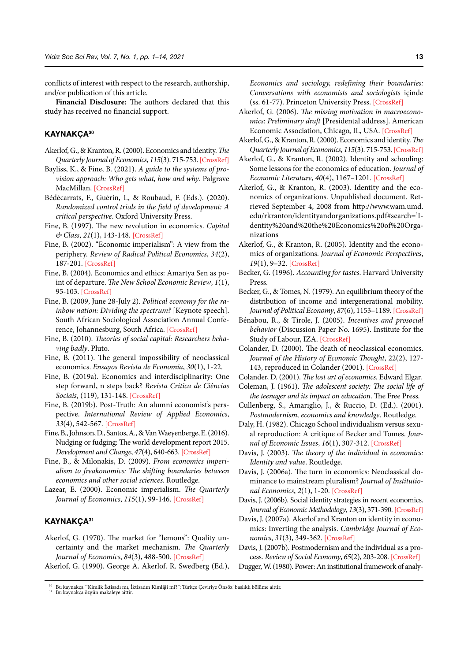conflicts of interest with respect to the research, authorship, and/or publication of this article.

**Financial Disclosure:** The authors declared that this study has received no financial support.

## **KAYNAKÇA<sup>30</sup>**

- Akerlof, G., & Kranton, R. (2000). Economics and identity. *The Quarterly Journal of Economics*, *115*(3). 715-753.[\[CrossRef\]](https://doi.org/10.1162/003355300554881)
- Bayliss, K., & Fine, B. (2021). *A guide to the systems of provision approach: Who gets what, how and why*. Palgrave MacMillan[. \[CrossRef\]](https://doi.org/10.1007/978-3-030-54143-9)
- Bédécarrats, F., Guérin, I., & Roubaud, F. (Eds.). (2020). *Randomized control trials in the field of development: A critical perspective*. Oxford University Press.
- Fine, B. (1997). The new revolution in economics. *Capital & Class*, *21*(1), 143-148. [\[CrossRef\]](https://doi.org/10.1177/030981689706100107)
- Fine, B. (2002). "Economic imperialism": A view from the periphery. *Review of Radical Political Economics*, *34*(2), 187-201. [\[CrossRef\]](https://doi.org/10.1177/048661340203400205)
- Fine, B. (2004). Economics and ethics: Amartya Sen as point of departure. *The New School Economic Review*, *1*(1), 95-103. [[CrossRef\]](https://nsereview.org/index.php/NSER/article/view/16)
- Fine, B. (2009, June 28-July 2). *Political economy for the rainbow nation: Dividing the spectrum?* [Keynote speech]. South African Sociological Association Annual Conference, Johannesburg, South Africa. [\[CrossRef\]](https://eprints.soas.ac.uk/7972/1/sasa_benfine.pdf)
- Fine, B. (2010). *Theories of social capital: Researchers behaving badly*. Pluto.
- Fine, B. (2011). The general impossibility of neoclassical economics. *Ensayos Revista de Economía*, *30*(1), 1-22.
- Fine, B. (2019a). Economics and interdisciplinarity: One step forward, n steps back? *Revista Crítica de Ciências Sociais*, (119), 131-148. [\[CrossRef\]](https://doi.org/10.4000/rccs.9230)
- Fine, B. (2019b). Post-Truth: An alumni economist's perspective. *International Review of Applied Economics*, *33*(4), 542-567. [\[CrossRef\]](https://doi.org/10.1080/02692171.2019.1617252)
- Fine, B., Johnson, D., Santos, A., & Van Waeyenberge, E. (2016). Nudging or fudging: The world development report 2015. *Development and Change*, *47*(4), 640-663. [\[CrossRef\]](https://doi.org/10.1111/dech.12240)
- Fine, B., & Milonakis, D. (2009). *From economics imperialism to freakonomics: The shifting boundaries between economics and other social sciences*. Routledge.
- Lazear, E. (2000). Economic imperialism. *The Quarterly Journal of Economics*, *115*(1), 99-146. [\[CrossRef\]](https://doi.org/10.1162/003355300554683)

## **KAYNAKÇA<sup>31</sup>**

- Akerlof, G. (1970). The market for "lemons": Quality uncertainty and the market mechanism. *The Quarterly Journal of Economics*, *84*(3), 488-500. [\[CrossRef\]](https://doi.org/10.2307/1879431)
- Akerlof, G. (1990). George A. Akerlof. R. Swedberg (Ed.),

*Economics and sociology, redefining their boundaries: Conversations with economists and sociologists* içinde (ss. 61-77). Princeton University Press. [\[CrossRef\]](https://doi.org/10.2307/j.ctv173f09z)

- Akerlof, G. (2006). *The missing motivation in macroeconomics: Preliminary draft* [Presidental address]. American Economic Association, Chicago, IL, USA. [\[CrossRef\]](http://www.aeaweb.org/annual_mtg_papers/2007/0106_1640_0101.pdf)
- Akerlof, G., & Kranton, R. (2000). Economics and identity. *The Quarterly Journal of Economics*, *115*(3). 715-75[3. \[CrossRef\]](https://doi.org/10.1162/003355300554881)
- Akerlof, G., & Kranton, R. (2002). Identity and schooling: Some lessons for the economics of education. *Journal of Economic Literature*, *40*(4), 1167–1201. [\[CrossRef\]](https://doi.org/dkfknj)
- Akerlof, G., & Kranton, R. (2003). Identity and the economics of organizations. Unpublished document. Retrieved September 4, 2008 from http://www.wam.umd. edu/rkranton/identityandorganizations.pdf#search='Identity%20and%20the%20Economics%20of%20Organizations
- Akerlof, G., & Kranton, R. (2005). Identity and the economics of organizations. *Journal of Economic Perspectives*, *19*(1), 9–32. [[CrossRef\]](https://doi.org/10.1257/0895330053147930)
- Becker, G. (1996). *Accounting for tastes*. Harvard University Press.
- Becker, G., & Tomes, N. (1979). An equilibrium theory of the distribution of income and intergenerational mobility. *Journal of Political Economy*, *87*(6), 1153–1189. [\[CrossRef\]](https://doi.org/10.1086/260831)
- Bénabou, R., & Tirole, J. (2005). *Incentives and prosocial behavior* (Discussion Paper No. 1695). Institute for the Study of Labour, IZA. [[CrossRef](https://www.iza.org/publications/dp/1695/incentives-and-prosocial-behavior)]
- Colander, D. (2000). The death of neoclassical economics. *Journal of the History of Economic Thought*, 22(2), 127- 143, reproduced in Colander (2001)[. \[CrossRef\]](https://doi.org/c8q4hp)
- Colander, D. (2001). *The lost art of economics*. Edward Elgar.
- Coleman, J. (1961). *The adolescent society: The social life of the teenager and its impact on education*. The Free Press.
- Cullenberg, S., Amariglio, J., & Ruccio, D. (Ed.). (2001). *Postmodernism, economics and knowledge*. Routledge.
- Daly, H. (1982). Chicago School individualism versus sexual reproduction: A critique of Becker and Tomes. *Journal of Economic Issues*, *16*(1), 307-312. [\[CrossRef\]](https://doi.org/gnst)
- Davis, J. (2003). *The theory of the individual in economics: Identity and value*. Routledge.
- Davis, J. (2006a). The turn in economics: Neoclassical dominance to mainstream pluralism? *Journal of Institutional Economics*, *2*(1), 1-20. [\[CrossRef\]](https://doi.org/bzn5sm)
- Davis, J. (2006b). Social identity strategies in recent economics. *Journal of Economic Methodology*, *13*(3), 371-390[. \[CrossRef\]](https://doi.org/10.1080/13501780600908168)
- Davis, J. (2007a). Akerlof and Kranton on identity in economics: Inverting the analysis. *Cambridge Journal of Economics*, *31*(3), 349-362. [\[CrossRef\]](https://doi.org/10.1093/cje/bel019)
- Davis, J. (2007b). Postmodernism and the individual as a process. *Review of Social Economy*, *65*(2), 203-208. [\[CrossRef\]](https://doi.org/10.1080/00346760701345581)
- Dugger, W. (1980). Power: An institutional framework of analy-

 $^{30}$  Bu kaynakça <br/>"Kimlik İktisadı mı, İktisadın Kimliği mi?": Türkçe Çeviriye Önsöz' başlıklı bölüme aittir.<br/>  $^{31}$  Bu kaynakça özgün makaleye aittir.